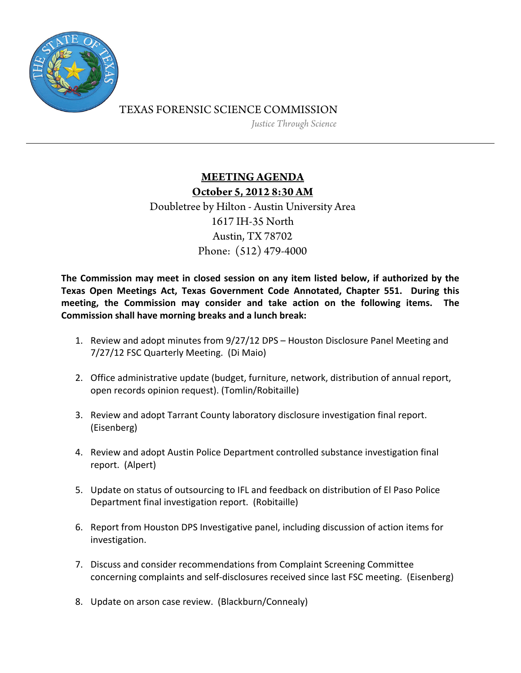

## TEXAS FORENSIC SCIENCE COMMISSION

*Justice Through Science* 

## **MEETING AGENDA October 5, 2012 8:30 AM** Doubletree by Hilton - Austin University Area 1617 IH-35 North

Austin, TX 78702 Phone: (512) 479-4000

**The Commission may meet in closed session on any item listed below, if authorized by the Texas Open Meetings Act, Texas Government Code Annotated, Chapter 551. During this meeting, the Commission may consider and take action on the following items. The Commission shall have morning breaks and a lunch break:**

- 1. Review and adopt minutes from 9/27/12 DPS Houston Disclosure Panel Meeting and 7/27/12 FSC Quarterly Meeting. (Di Maio)
- 2. Office administrative update (budget, furniture, network, distribution of annual report, open records opinion request). (Tomlin/Robitaille)
- 3. Review and adopt Tarrant County laboratory disclosure investigation final report. (Eisenberg)
- 4. Review and adopt Austin Police Department controlled substance investigation final report. (Alpert)
- 5. Update on status of outsourcing to IFL and feedback on distribution of El Paso Police Department final investigation report. (Robitaille)
- 6. Report from Houston DPS Investigative panel, including discussion of action items for investigation.
- 7. Discuss and consider recommendations from Complaint Screening Committee concerning complaints and self‐disclosures received since last FSC meeting. (Eisenberg)
- 8. Update on arson case review. (Blackburn/Connealy)